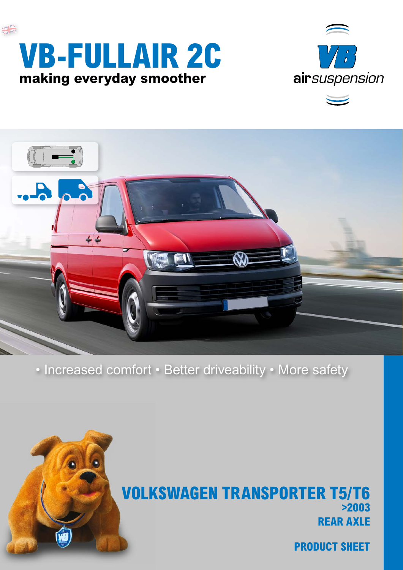





• Increased comfort • Better driveability • More safety



# **REAR AXLE VOLKSWAGEN TRANSPORTER T5/T6 >2003**

**PRODUCT SHEET**